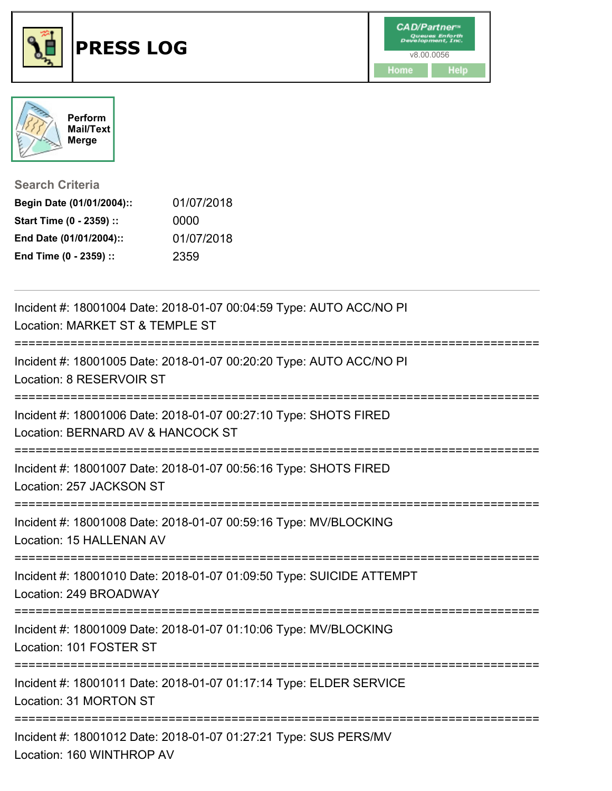



**Search Criteria**

| Begin Date (01/01/2004):: | 01/07/2018 |
|---------------------------|------------|
| Start Time (0 - 2359) ::  | 0000       |
| End Date (01/01/2004)::   | 01/07/2018 |
| End Time (0 - 2359) ::    | 2359       |

| Incident #: 18001004 Date: 2018-01-07 00:04:59 Type: AUTO ACC/NO PI<br>Location: MARKET ST & TEMPLE ST<br>-----------                   |
|-----------------------------------------------------------------------------------------------------------------------------------------|
| Incident #: 18001005 Date: 2018-01-07 00:20:20 Type: AUTO ACC/NO PI<br>Location: 8 RESERVOIR ST<br>;=================================== |
| Incident #: 18001006 Date: 2018-01-07 00:27:10 Type: SHOTS FIRED<br>Location: BERNARD AV & HANCOCK ST                                   |
| Incident #: 18001007 Date: 2018-01-07 00:56:16 Type: SHOTS FIRED<br>Location: 257 JACKSON ST                                            |
| Incident #: 18001008 Date: 2018-01-07 00:59:16 Type: MV/BLOCKING<br>Location: 15 HALLENAN AV                                            |
| Incident #: 18001010 Date: 2018-01-07 01:09:50 Type: SUICIDE ATTEMPT<br>Location: 249 BROADWAY                                          |
| Incident #: 18001009 Date: 2018-01-07 01:10:06 Type: MV/BLOCKING<br>Location: 101 FOSTER ST                                             |
| Incident #: 18001011 Date: 2018-01-07 01:17:14 Type: ELDER SERVICE<br>Location: 31 MORTON ST                                            |
| Incident #: 18001012 Date: 2018-01-07 01:27:21 Type: SUS PERS/MV<br>Location: 160 WINTHROP AV                                           |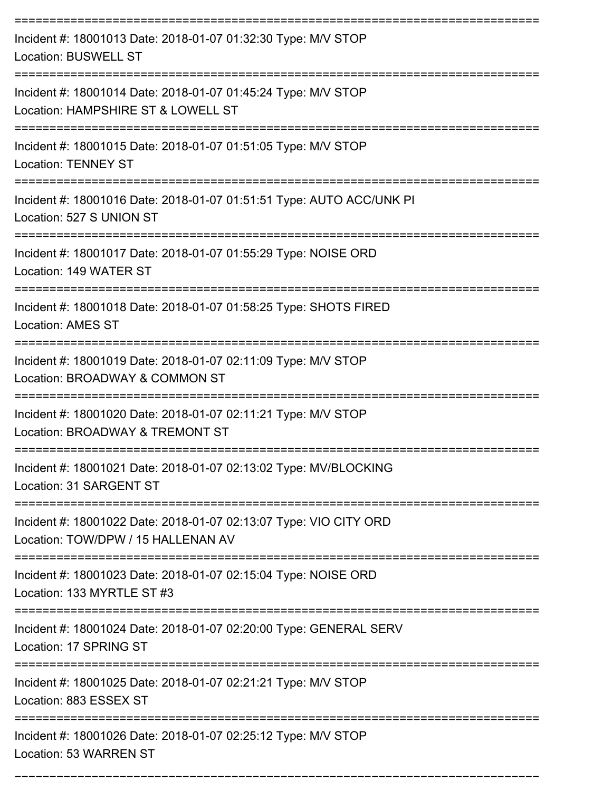| Incident #: 18001013 Date: 2018-01-07 01:32:30 Type: M/V STOP<br><b>Location: BUSWELL ST</b>                                                       |
|----------------------------------------------------------------------------------------------------------------------------------------------------|
| Incident #: 18001014 Date: 2018-01-07 01:45:24 Type: M/V STOP<br>Location: HAMPSHIRE ST & LOWELL ST                                                |
| Incident #: 18001015 Date: 2018-01-07 01:51:05 Type: M/V STOP<br><b>Location: TENNEY ST</b>                                                        |
| Incident #: 18001016 Date: 2018-01-07 01:51:51 Type: AUTO ACC/UNK PI<br>Location: 527 S UNION ST                                                   |
| Incident #: 18001017 Date: 2018-01-07 01:55:29 Type: NOISE ORD<br>Location: 149 WATER ST                                                           |
| Incident #: 18001018 Date: 2018-01-07 01:58:25 Type: SHOTS FIRED<br><b>Location: AMES ST</b>                                                       |
| Incident #: 18001019 Date: 2018-01-07 02:11:09 Type: M/V STOP<br>Location: BROADWAY & COMMON ST                                                    |
| Incident #: 18001020 Date: 2018-01-07 02:11:21 Type: M/V STOP<br>Location: BROADWAY & TREMONT ST                                                   |
| Incident #: 18001021 Date: 2018-01-07 02:13:02 Type: MV/BLOCKING<br>Location: 31 SARGENT ST                                                        |
| Incident #: 18001022 Date: 2018-01-07 02:13:07 Type: VIO CITY ORD<br>Location: TOW/DPW / 15 HALLENAN AV                                            |
| Incident #: 18001023 Date: 2018-01-07 02:15:04 Type: NOISE ORD<br>Location: 133 MYRTLE ST #3                                                       |
| -----------------------<br>________________________<br>Incident #: 18001024 Date: 2018-01-07 02:20:00 Type: GENERAL SERV<br>Location: 17 SPRING ST |
| Incident #: 18001025 Date: 2018-01-07 02:21:21 Type: M/V STOP<br>Location: 883 ESSEX ST                                                            |
| Incident #: 18001026 Date: 2018-01-07 02:25:12 Type: M/V STOP<br>Location: 53 WARREN ST                                                            |

===========================================================================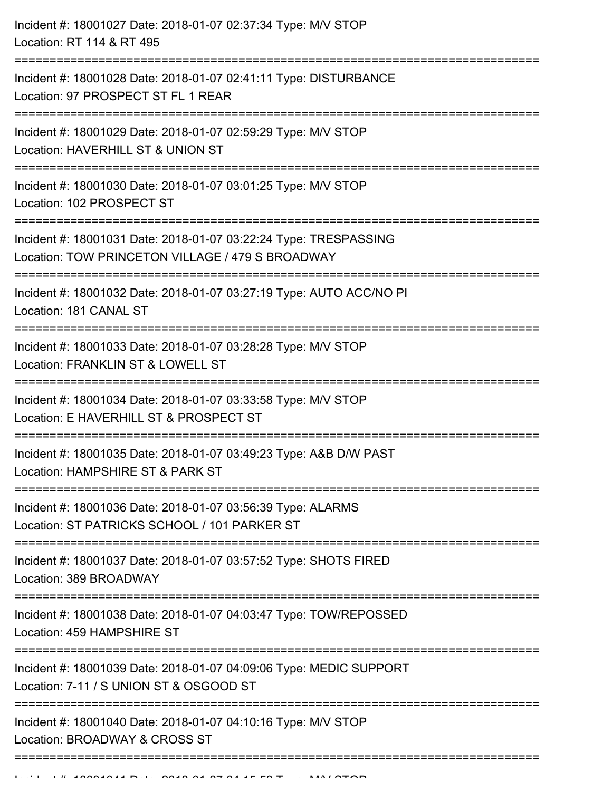| Incident #: 18001027 Date: 2018-01-07 02:37:34 Type: M/V STOP<br>Location: RT 114 & RT 495                                                   |
|----------------------------------------------------------------------------------------------------------------------------------------------|
| Incident #: 18001028 Date: 2018-01-07 02:41:11 Type: DISTURBANCE<br>Location: 97 PROSPECT ST FL 1 REAR                                       |
| Incident #: 18001029 Date: 2018-01-07 02:59:29 Type: M/V STOP<br>Location: HAVERHILL ST & UNION ST<br>============                           |
| Incident #: 18001030 Date: 2018-01-07 03:01:25 Type: M/V STOP<br>Location: 102 PROSPECT ST                                                   |
| Incident #: 18001031 Date: 2018-01-07 03:22:24 Type: TRESPASSING<br>Location: TOW PRINCETON VILLAGE / 479 S BROADWAY<br>==================== |
| Incident #: 18001032 Date: 2018-01-07 03:27:19 Type: AUTO ACC/NO PI<br>Location: 181 CANAL ST                                                |
| Incident #: 18001033 Date: 2018-01-07 03:28:28 Type: M/V STOP<br>Location: FRANKLIN ST & LOWELL ST                                           |
| Incident #: 18001034 Date: 2018-01-07 03:33:58 Type: M/V STOP<br>Location: E HAVERHILL ST & PROSPECT ST                                      |
| Incident #: 18001035 Date: 2018-01-07 03:49:23 Type: A&B D/W PAST<br>Location: HAMPSHIRE ST & PARK ST                                        |
| Incident #: 18001036 Date: 2018-01-07 03:56:39 Type: ALARMS<br>Location: ST PATRICKS SCHOOL / 101 PARKER ST                                  |
| Incident #: 18001037 Date: 2018-01-07 03:57:52 Type: SHOTS FIRED<br>Location: 389 BROADWAY                                                   |
| Incident #: 18001038 Date: 2018-01-07 04:03:47 Type: TOW/REPOSSED<br>Location: 459 HAMPSHIRE ST                                              |
| Incident #: 18001039 Date: 2018-01-07 04:09:06 Type: MEDIC SUPPORT<br>Location: 7-11 / S UNION ST & OSGOOD ST                                |
| Incident #: 18001040 Date: 2018-01-07 04:10:16 Type: M/V STOP<br>Location: BROADWAY & CROSS ST                                               |
|                                                                                                                                              |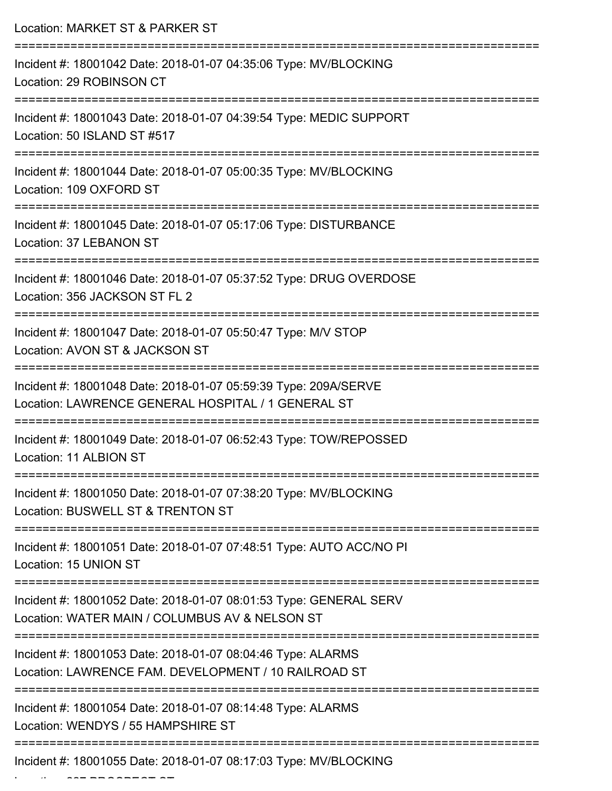| Location: MARKET ST & PARKER ST                                                                                       |
|-----------------------------------------------------------------------------------------------------------------------|
| Incident #: 18001042 Date: 2018-01-07 04:35:06 Type: MV/BLOCKING<br>Location: 29 ROBINSON CT                          |
| Incident #: 18001043 Date: 2018-01-07 04:39:54 Type: MEDIC SUPPORT<br>Location: 50 ISLAND ST #517                     |
| Incident #: 18001044 Date: 2018-01-07 05:00:35 Type: MV/BLOCKING<br>Location: 109 OXFORD ST                           |
| Incident #: 18001045 Date: 2018-01-07 05:17:06 Type: DISTURBANCE<br>Location: 37 LEBANON ST                           |
| Incident #: 18001046 Date: 2018-01-07 05:37:52 Type: DRUG OVERDOSE<br>Location: 356 JACKSON ST FL 2                   |
| Incident #: 18001047 Date: 2018-01-07 05:50:47 Type: M/V STOP<br>Location: AVON ST & JACKSON ST                       |
| Incident #: 18001048 Date: 2018-01-07 05:59:39 Type: 209A/SERVE<br>Location: LAWRENCE GENERAL HOSPITAL / 1 GENERAL ST |
| Incident #: 18001049 Date: 2018-01-07 06:52:43 Type: TOW/REPOSSED<br>Location: 11 ALBION ST                           |
| Incident #: 18001050 Date: 2018-01-07 07:38:20 Type: MV/BLOCKING<br>Location: BUSWELL ST & TRENTON ST                 |
| Incident #: 18001051 Date: 2018-01-07 07:48:51 Type: AUTO ACC/NO PI<br>Location: 15 UNION ST                          |
| Incident #: 18001052 Date: 2018-01-07 08:01:53 Type: GENERAL SERV<br>Location: WATER MAIN / COLUMBUS AV & NELSON ST   |
| Incident #: 18001053 Date: 2018-01-07 08:04:46 Type: ALARMS<br>Location: LAWRENCE FAM. DEVELOPMENT / 10 RAILROAD ST   |
| Incident #: 18001054 Date: 2018-01-07 08:14:48 Type: ALARMS<br>Location: WENDYS / 55 HAMPSHIRE ST                     |
| Incident #: 18001055 Date: 2018-01-07 08:17:03 Type: MV/BLOCKING                                                      |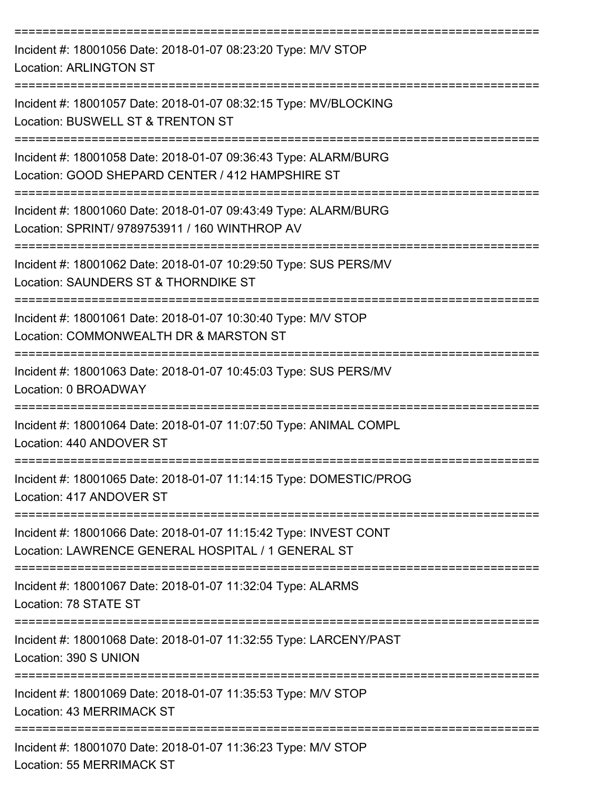| Incident #: 18001056 Date: 2018-01-07 08:23:20 Type: M/V STOP<br><b>Location: ARLINGTON ST</b>                                                                |
|---------------------------------------------------------------------------------------------------------------------------------------------------------------|
| Incident #: 18001057 Date: 2018-01-07 08:32:15 Type: MV/BLOCKING<br>Location: BUSWELL ST & TRENTON ST                                                         |
| Incident #: 18001058 Date: 2018-01-07 09:36:43 Type: ALARM/BURG<br>Location: GOOD SHEPARD CENTER / 412 HAMPSHIRE ST                                           |
| Incident #: 18001060 Date: 2018-01-07 09:43:49 Type: ALARM/BURG<br>Location: SPRINT/ 9789753911 / 160 WINTHROP AV                                             |
| Incident #: 18001062 Date: 2018-01-07 10:29:50 Type: SUS PERS/MV<br>Location: SAUNDERS ST & THORNDIKE ST                                                      |
| Incident #: 18001061 Date: 2018-01-07 10:30:40 Type: M/V STOP<br>Location: COMMONWEALTH DR & MARSTON ST                                                       |
| Incident #: 18001063 Date: 2018-01-07 10:45:03 Type: SUS PERS/MV<br>Location: 0 BROADWAY                                                                      |
| Incident #: 18001064 Date: 2018-01-07 11:07:50 Type: ANIMAL COMPL<br>Location: 440 ANDOVER ST                                                                 |
| Incident #: 18001065 Date: 2018-01-07 11:14:15 Type: DOMESTIC/PROG<br>Location: 417 ANDOVER ST                                                                |
| -----------------------------------<br>Incident #: 18001066 Date: 2018-01-07 11:15:42 Type: INVEST CONT<br>Location: LAWRENCE GENERAL HOSPITAL / 1 GENERAL ST |
| Incident #: 18001067 Date: 2018-01-07 11:32:04 Type: ALARMS<br>Location: 78 STATE ST                                                                          |
| Incident #: 18001068 Date: 2018-01-07 11:32:55 Type: LARCENY/PAST<br>Location: 390 S UNION                                                                    |
| Incident #: 18001069 Date: 2018-01-07 11:35:53 Type: M/V STOP<br>Location: 43 MERRIMACK ST                                                                    |
| Incident #: 18001070 Date: 2018-01-07 11:36:23 Type: M/V STOP<br>Location: 55 MERRIMACK ST                                                                    |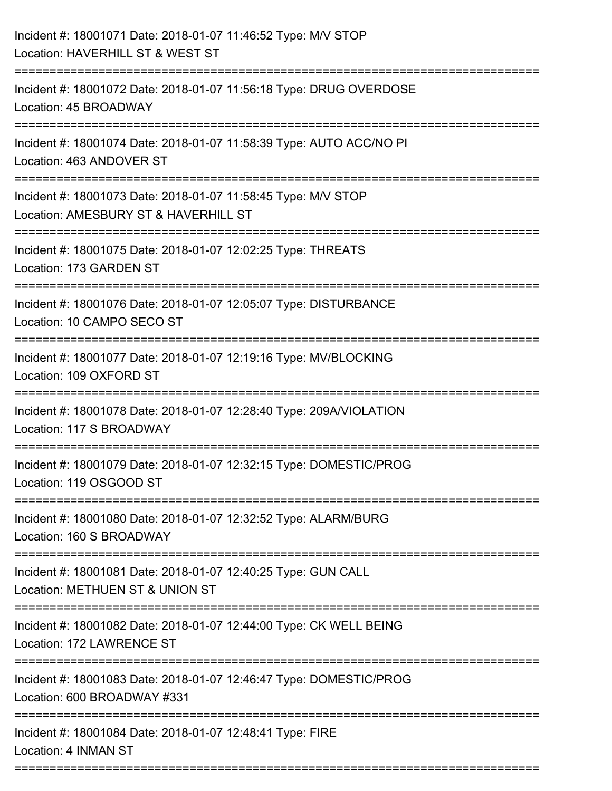| Incident #: 18001071 Date: 2018-01-07 11:46:52 Type: M/V STOP<br>Location: HAVERHILL ST & WEST ST     |
|-------------------------------------------------------------------------------------------------------|
| Incident #: 18001072 Date: 2018-01-07 11:56:18 Type: DRUG OVERDOSE<br>Location: 45 BROADWAY           |
| Incident #: 18001074 Date: 2018-01-07 11:58:39 Type: AUTO ACC/NO PI<br>Location: 463 ANDOVER ST       |
| Incident #: 18001073 Date: 2018-01-07 11:58:45 Type: M/V STOP<br>Location: AMESBURY ST & HAVERHILL ST |
| Incident #: 18001075 Date: 2018-01-07 12:02:25 Type: THREATS<br>Location: 173 GARDEN ST               |
| Incident #: 18001076 Date: 2018-01-07 12:05:07 Type: DISTURBANCE<br>Location: 10 CAMPO SECO ST        |
| Incident #: 18001077 Date: 2018-01-07 12:19:16 Type: MV/BLOCKING<br>Location: 109 OXFORD ST           |
| Incident #: 18001078 Date: 2018-01-07 12:28:40 Type: 209A/VIOLATION<br>Location: 117 S BROADWAY       |
| Incident #: 18001079 Date: 2018-01-07 12:32:15 Type: DOMESTIC/PROG<br>Location: 119 OSGOOD ST         |
| Incident #: 18001080 Date: 2018-01-07 12:32:52 Type: ALARM/BURG<br>Location: 160 S BROADWAY           |
| Incident #: 18001081 Date: 2018-01-07 12:40:25 Type: GUN CALL<br>Location: METHUEN ST & UNION ST      |
| Incident #: 18001082 Date: 2018-01-07 12:44:00 Type: CK WELL BEING<br>Location: 172 LAWRENCE ST       |
| Incident #: 18001083 Date: 2018-01-07 12:46:47 Type: DOMESTIC/PROG<br>Location: 600 BROADWAY #331     |
| Incident #: 18001084 Date: 2018-01-07 12:48:41 Type: FIRE<br>Location: 4 INMAN ST                     |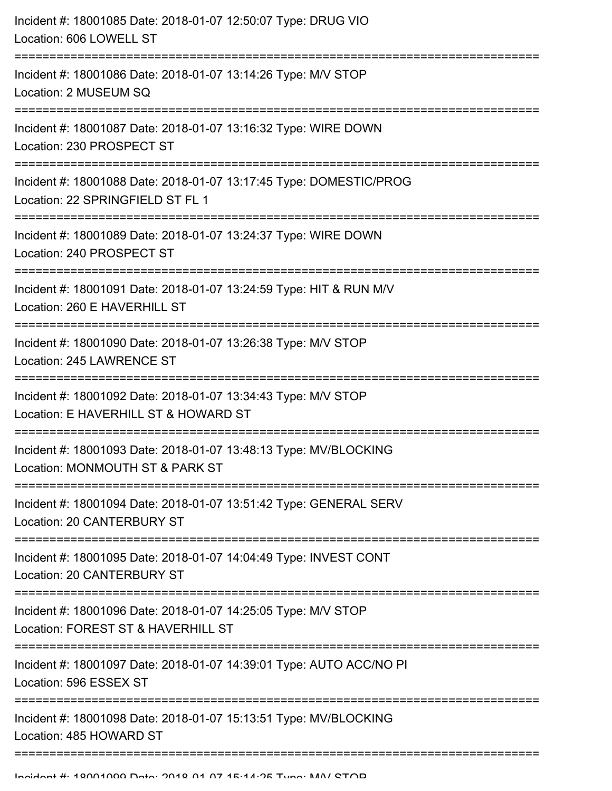| Incident #: 18001085 Date: 2018-01-07 12:50:07 Type: DRUG VIO<br>Location: 606 LOWELL ST               |
|--------------------------------------------------------------------------------------------------------|
| Incident #: 18001086 Date: 2018-01-07 13:14:26 Type: M/V STOP<br>Location: 2 MUSEUM SQ                 |
| Incident #: 18001087 Date: 2018-01-07 13:16:32 Type: WIRE DOWN<br>Location: 230 PROSPECT ST            |
| Incident #: 18001088 Date: 2018-01-07 13:17:45 Type: DOMESTIC/PROG<br>Location: 22 SPRINGFIELD ST FL 1 |
| Incident #: 18001089 Date: 2018-01-07 13:24:37 Type: WIRE DOWN<br>Location: 240 PROSPECT ST            |
| Incident #: 18001091 Date: 2018-01-07 13:24:59 Type: HIT & RUN M/V<br>Location: 260 E HAVERHILL ST     |
| Incident #: 18001090 Date: 2018-01-07 13:26:38 Type: M/V STOP<br>Location: 245 LAWRENCE ST             |
| Incident #: 18001092 Date: 2018-01-07 13:34:43 Type: M/V STOP<br>Location: E HAVERHILL ST & HOWARD ST  |
| Incident #: 18001093 Date: 2018-01-07 13:48:13 Type: MV/BLOCKING<br>Location: MONMOUTH ST & PARK ST    |
| Incident #: 18001094 Date: 2018-01-07 13:51:42 Type: GENERAL SERV<br>Location: 20 CANTERBURY ST        |
| Incident #: 18001095 Date: 2018-01-07 14:04:49 Type: INVEST CONT<br>Location: 20 CANTERBURY ST         |
| Incident #: 18001096 Date: 2018-01-07 14:25:05 Type: M/V STOP<br>Location: FOREST ST & HAVERHILL ST    |
| Incident #: 18001097 Date: 2018-01-07 14:39:01 Type: AUTO ACC/NO PI<br>Location: 596 ESSEX ST          |
| Incident #: 18001098 Date: 2018-01-07 15:13:51 Type: MV/BLOCKING<br>Location: 485 HOWARD ST            |
|                                                                                                        |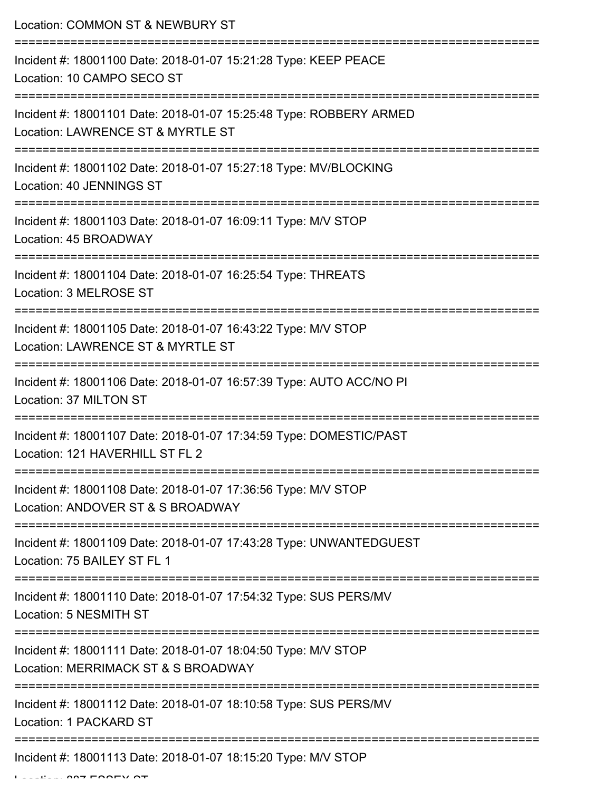Location: COMMON ST & NEWBURY ST =========================================================================== Incident #: 18001100 Date: 2018-01-07 15:21:28 Type: KEEP PEACE Location: 10 CAMPO SECO ST =========================================================================== Incident #: 18001101 Date: 2018-01-07 15:25:48 Type: ROBBERY ARMED Location: LAWRENCE ST & MYRTLE ST =========================================================================== Incident #: 18001102 Date: 2018-01-07 15:27:18 Type: MV/BLOCKING Location: 40 JENNINGS ST =========================================================================== Incident #: 18001103 Date: 2018-01-07 16:09:11 Type: M/V STOP Location: 45 BROADWAY =========================================================================== Incident #: 18001104 Date: 2018-01-07 16:25:54 Type: THREATS Location: 3 MELROSE ST =========================================================================== Incident #: 18001105 Date: 2018-01-07 16:43:22 Type: M/V STOP Location: LAWRENCE ST & MYRTLE ST =========================================================================== Incident #: 18001106 Date: 2018-01-07 16:57:39 Type: AUTO ACC/NO PI Location: 37 MILTON ST =========================================================================== Incident #: 18001107 Date: 2018-01-07 17:34:59 Type: DOMESTIC/PAST Location: 121 HAVERHILL ST FL 2 =========================================================================== Incident #: 18001108 Date: 2018-01-07 17:36:56 Type: M/V STOP Location: ANDOVER ST & S BROADWAY =========================================================================== Incident #: 18001109 Date: 2018-01-07 17:43:28 Type: UNWANTEDGUEST Location: 75 BAILEY ST FL 1 =========================================================================== Incident #: 18001110 Date: 2018-01-07 17:54:32 Type: SUS PERS/MV Location: 5 NESMITH ST =========================================================================== Incident #: 18001111 Date: 2018-01-07 18:04:50 Type: M/V STOP Location: MERRIMACK ST & S BROADWAY =========================================================================== Incident #: 18001112 Date: 2018-01-07 18:10:58 Type: SUS PERS/MV Location: 1 PACKARD ST =========================================================================== Incident #: 18001113 Date: 2018-01-07 18:15:20 Type: M/V STOP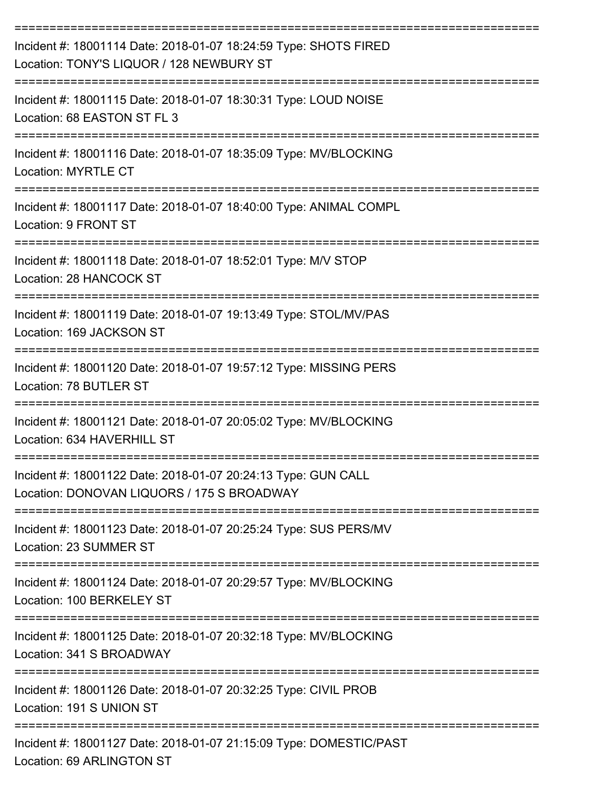| Incident #: 18001114 Date: 2018-01-07 18:24:59 Type: SHOTS FIRED<br>Location: TONY'S LIQUOR / 128 NEWBURY ST |
|--------------------------------------------------------------------------------------------------------------|
| Incident #: 18001115 Date: 2018-01-07 18:30:31 Type: LOUD NOISE<br>Location: 68 EASTON ST FL 3               |
| Incident #: 18001116 Date: 2018-01-07 18:35:09 Type: MV/BLOCKING<br><b>Location: MYRTLE CT</b>               |
| Incident #: 18001117 Date: 2018-01-07 18:40:00 Type: ANIMAL COMPL<br>Location: 9 FRONT ST                    |
| Incident #: 18001118 Date: 2018-01-07 18:52:01 Type: M/V STOP<br>Location: 28 HANCOCK ST                     |
| Incident #: 18001119 Date: 2018-01-07 19:13:49 Type: STOL/MV/PAS<br>Location: 169 JACKSON ST                 |
| Incident #: 18001120 Date: 2018-01-07 19:57:12 Type: MISSING PERS<br>Location: 78 BUTLER ST                  |
| Incident #: 18001121 Date: 2018-01-07 20:05:02 Type: MV/BLOCKING<br>Location: 634 HAVERHILL ST               |
| Incident #: 18001122 Date: 2018-01-07 20:24:13 Type: GUN CALL<br>Location: DONOVAN LIQUORS / 175 S BROADWAY  |
| Incident #: 18001123 Date: 2018-01-07 20:25:24 Type: SUS PERS/MV<br>Location: 23 SUMMER ST                   |
| Incident #: 18001124 Date: 2018-01-07 20:29:57 Type: MV/BLOCKING<br>Location: 100 BERKELEY ST                |
| Incident #: 18001125 Date: 2018-01-07 20:32:18 Type: MV/BLOCKING<br>Location: 341 S BROADWAY                 |
| Incident #: 18001126 Date: 2018-01-07 20:32:25 Type: CIVIL PROB<br>Location: 191 S UNION ST                  |
| Incident #: 18001127 Date: 2018-01-07 21:15:09 Type: DOMESTIC/PAST<br>Location: 69 ARLINGTON ST              |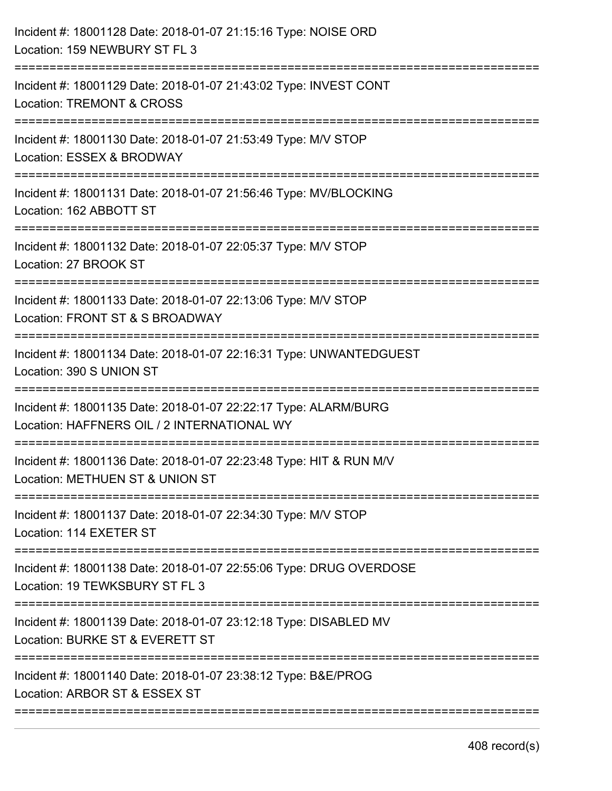| Incident #: 18001128 Date: 2018-01-07 21:15:16 Type: NOISE ORD<br>Location: 159 NEWBURY ST FL 3                |
|----------------------------------------------------------------------------------------------------------------|
| Incident #: 18001129 Date: 2018-01-07 21:43:02 Type: INVEST CONT<br><b>Location: TREMONT &amp; CROSS</b>       |
| Incident #: 18001130 Date: 2018-01-07 21:53:49 Type: M/V STOP<br>Location: ESSEX & BRODWAY                     |
| Incident #: 18001131 Date: 2018-01-07 21:56:46 Type: MV/BLOCKING<br>Location: 162 ABBOTT ST                    |
| Incident #: 18001132 Date: 2018-01-07 22:05:37 Type: M/V STOP<br>Location: 27 BROOK ST                         |
| Incident #: 18001133 Date: 2018-01-07 22:13:06 Type: M/V STOP<br>Location: FRONT ST & S BROADWAY               |
| Incident #: 18001134 Date: 2018-01-07 22:16:31 Type: UNWANTEDGUEST<br>Location: 390 S UNION ST                 |
| Incident #: 18001135 Date: 2018-01-07 22:22:17 Type: ALARM/BURG<br>Location: HAFFNERS OIL / 2 INTERNATIONAL WY |
| Incident #: 18001136 Date: 2018-01-07 22:23:48 Type: HIT & RUN M/V<br>Location: METHUEN ST & UNION ST          |
| Incident #: 18001137 Date: 2018-01-07 22:34:30 Type: M/V STOP<br>Location: 114 EXETER ST                       |
| Incident #: 18001138 Date: 2018-01-07 22:55:06 Type: DRUG OVERDOSE<br>Location: 19 TEWKSBURY ST FL 3           |
| Incident #: 18001139 Date: 2018-01-07 23:12:18 Type: DISABLED MV<br>Location: BURKE ST & EVERETT ST            |
| Incident #: 18001140 Date: 2018-01-07 23:38:12 Type: B&E/PROG<br>Location: ARBOR ST & ESSEX ST                 |
|                                                                                                                |